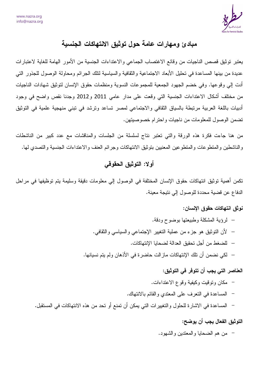

# مبادئ ومهارات عامة حول توثيق الانتهاكات الجنسية

يعتبر نوثيق قصص الناجيات من وقائع الاغتصاب الجماعي والاعتداءات الجنسية من الأمور الهامة للغاية لاعتبارات عديدة من بينها المساعدة في تحليل الأبعاد الاجتماعية والثقافية والسياسية لتلك الجر ائم ومحاولة الوصول للجذور التي أدت إلى وقوعها. وفي خضم الجهود الجمعية للمجموعات النسوية ومنظمات حقوق الإنسان لتوثيق شهادات الناجيات من مختلف أشكال الاعتداءات الجنسية التي وقعت على مدار عامي 2011 و2012 وجدنا نقص واضح في وجود أدبيات باللغة العربية مرتبطة بالسياق الثقافي والاجتماعي لمصر تساعد وترشد في تبنى منهجية علمية في التوثيق تضمن الوصول للمعلومات من ناجيات واحترام خصوصيتهن.

من هنا جاءت فكرة هذه الورقة والتي تعتبر نتاج لسلسلة من الجلسات والمناقشات مع عدد كبير من الناشطات والناشطين والمنطوعات والمنطوعين المعنيين بتوثيق الانتهاكات وجرائم العنف والاعتداءات الجنسية والتصدي لمها.

### أولا: التوثيق الحقوقي

تكمن أهمية توثيق انتهاكات حقوق الإنسان المختلفة في الوصول إلى معلومات دقيقة وسليمة يتم توظيفها في مراحل الدفاع عن قضية محددة للوصول إلى نتيجة معينة.

### نوثق انتهاكات حقوق الإنسان:

– لرؤية المشكلة وطبيعتها بوضوح ودقة. – لأن النوثيق هو جزء من عملية التغيير الإجتماعي والسياسي والثقافي. — للضغط من أجل تحقيق العدالة لضحايا الإنتهاكات. – لكي نضمن أن تلك الإنتهاكات ماز الت حاضرة في الأذهان ولم يتم نسيانها.

### العناصر التي يجب أن تتوفر في التوثيق:

- مكان وتوقيت وكيفية وقوع الاعتداءات.
- المساعدة في النعرف على المعندي والقائم بالانتهاك.
- المساعدة في الاشارة للحلول والتغييرات التي يمكن أن تمنع أو تحد من هذه الانتهاكات في المستقبل.

### التوثيق الفعال يجب أن يوضح:

من هم الضحايا والمعتدين والشهود.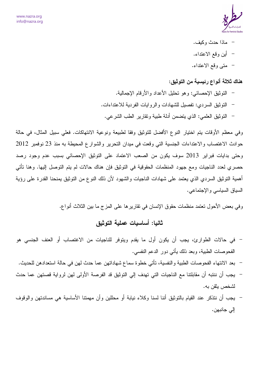

- ماذا حدث وكيف.
- أين وقع الاعتداء.
- متى وقع الاعتداء.

هناك ثلاثة أنواع رئيسية من التوثيق:

– التوثيق الإحصائي: و هو تحليل الأعداد و الأر قام الإجمالية. النوثيق السردي: تفصيل للشهادات والروايات الفردية للاعتداءات. – التوثيق العلمي: الذي يتضمن أدلة طبية وتقارير الطب الشرعي.

وفي معظم الأوقات بتم اختيار النوع الأفضل للتوثيق وفقا لطبيعة ونوعية الانتهاكات. فعلى سبيل المثال، في حالة حوادث الاغتصاب والاعتداءات الجنسية التي وقعت في ميدان التحرير والشوارع المحيطة به منذ 23 نوفمبر 2012 وحتى بدايات فبراير 2013 سوف يكون من الصعب الاعتماد على التوثيق الإحصائي بسبب عدم وجود رصد حصري لعدد الناجيات ومع جهود المنظمات الحقوقية في النوثيق فإن هناك حالات لم يتم النوصل إليها. وهنا نأتي أهمية التوثيق السردي الذي يعتمد على شهادات الناجيات والشهود لأن ذلك النوع من التوثيق يمنحنا القدرة على رؤية السياق السياسي والإجتماعي.

## ثانيا: أساسيات عملية التوثيق

- في حالات الطوارئ، يجب أن يكون أول ما يقدم ويتوفر للناجيات من الاغتصاب أو العنف الجنسي هو الفحوصات الطبية، وبعد ذلك بِأتـي دور الدعم النفسي.
- بعد الانتهاء الفحوصات الطبية والنفسية، تأتي خطوة سماع شهاداتهن عما حدث لهن في حالة استعدادهن للحديث.
- يجب أن ننتبه أن مقابلتنا مع الناجيات التي تهدف إلى التوثيق قد الفرصة الأولى لهن لرواية قصتهن عما حدث لشخص بثقن به.
- يجب أن ننذكر عند القيام بالتوثيق أننا لسنا وكلاء نيابة أو محللين وأن مهمتنا الأساسية هي مساندتهن والوقوف الي جانبهن.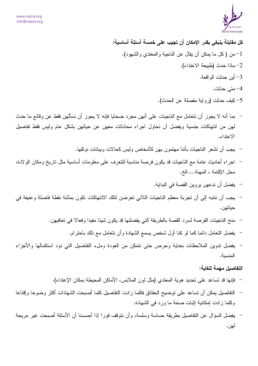

كل مقابلة ينبغي بقدر الإمكان أن تجيب على خمسة أسئلة أساسية: من (كل ما يمكن أن يقال عن الناجية والمعتدي والشهود).  $\!1$ 2- ماذا حدث (طبيعة الاعتداء). 3– أبن حدثت الواقعة. 4- متے حدثت.

- 5- كيف حدثت (رواية مفصلة عن الحدث).
- بما أنه لا يجوز أن نتعامل مع الناجيات على أنهن مجرد ضحايا فإنه لا يجوز أن نسألهن فقط عن وقائع ما حدث لمهن من انتهاكات جنسية ويفضل أن نحاول اجراء محادثات معهن عن حياتهن بشكل عام وليس فقط تفاصيل الاعتداء.
	- يجب أن نشعر الناجيات بأننا مهتمون بهن كأشخاص وليس كحالات وبيانات نوثقها.
- اجراء أحاديث عامة مع الناجيات قد يكون فرصة مناسبة للنعرف على معلومات أساسية مثل ناريخ ومكان الولادة، محل الإقامة ، المهنة....الخ.
	- يفضل أن ندعهن يروين القصة في البداية.
- يجب أن ننتبه إلى أن تجربة معظم الناجيات اللاتي تعرضن لتلك الانتهاكات تكون بمثابة نقطة فاصلة وعنيفة في حياتهن.
	- منح الناجيات الفرصة لسرد القصة بالطريقة التي يفضلنها قد يكون شيئا مفيدا وفعالا في تعافيهن.
		- يفضل التعامل دائما كما لو كنا أول شخص يسمع الشهادة وأن نتعامل مع ذلك باحترام.
- يفضل تدوين الملاحظات بعناية وحرص حتى نتمكن من العودة وملء التفاصيل التي نود استكمالها والأجزاء المنسىة.

#### التفاصيل مهمة للغاية:

- فإنها قد تساعد على تحديد هوية المعتدي (مثل لون الملابس، الأماكن المحيطة بمكان الإعتداء).
- التفاصيل يمكن أن تساعد على توضيح الحقائق فكلما ز ادت التفاصيل كلما أصبحت الشهادات أكثر وضوحا وإقناعا وكلما زادت إمكانية إثبات صحة ما ورد في الشهادة.
- يفضل السؤال عن النفاصيل بطريقة حساسة وسلسة، وأن نتوقف فورا إذا أحسسنا أن الأسئلة أصبحت غير مريحة لهن.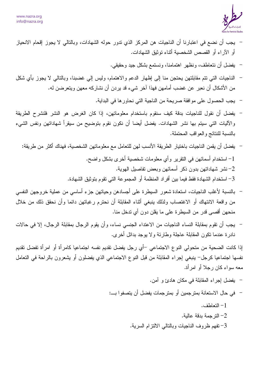

- يجب أن نضع في اعتبارنا أن الناجيات هن المركز الذي ندور حوله الشهادات، وبالتالي لا يجوز إقحام الانحياز أو الآراء أو القصص الشخصية أثناء توثيق الشهادات.
	- يفضل أن نتعاطف، ونظهر اهتمامنا، ونستمع بشكل جيد وحقيقي.
- الناجيات التبي نتم مقابلتهن يحتجن منا إلىي إظهار الدعم والاهتمام، وليس إلىي غضبنا، وبالتالبي لا يجوز بأي شكل من الأشكال أن نعبر عن غضب أمامهن فهذا آخر شيء قد يردن أن نشاركه معهن ويتعرضن له.
	- يجب الحصول على موافقة صريحة من الناجية التي نحاور ها في البداية.
- يفضل أن نقول للناجيات بدقة كيف سنقوم باستخدام معلوماتهن، إذا كان الغرض هو النشر فلنشرح الطريقة والأليات التي سيتم بها نشر الشهادات. يفضل أيضا أن نكون نقوم بتوضيح من سيقرأ شهاداتهن ونفس الشيء بالنسبة للنتائج والعواقب المحتملة.
	- يفضل أن يقمن الناجيات باختيار الطريقة الأنسب لهن للتعامل مع معلوماتهن الشخصية، فهناك أكثر من طريقة: 1- استخدام أسمائهن في النقرير وأي معلومات شخصية أخرى بشكل واضح. - نشر شهاداتهن بدون ذكر أسمائهن وبعض تفاصيل الهوية. $-2$ – استخدام الشهادة فقط فيما بين أفراد المنظمة أو المجموعة التي تقوم بتوثيق الشهادة.  $\, -3\,$
- بالنسبة لأغلب الناجيات، استعادة شعور السيطرة على أجسادهن وحياتهن جزء أساسى من عملية خروجهن النفسي من واقعة الانتهاك أو الاغتصاب ولذلك ينبغي أثناء المقابلة أن نحترم رغباتهن دائما وأن نحقق ذلك من خلال منحهن أقصبي قدر من السيطرة على ما يقلن دون أي تدخل منا.
- يجب أن نقوم بمقابلة النساء الناجيات من الاعتداء الجنسي نساء، وأن يقوم الرجال بمقابلة الرجال، إلا في حالات نادرة عندما نكون المقابلة عاجلة وطارئة ولا بوجد بدائل أخرى.

اذا كانت الضحية من متحولي النوع الاجتماعي –أي رجل يفضل تقديم نفسه اجتماعيا كامرأة أو امرأة تفضل تقديم نفسها اجتماعيا كرجل– ينبغي إجراء المقابلة من قبل النوع الاجتماعي الذي يفضلون أو يشعرون بالراحة في التعامل معه سواء كان رجلا أو امرأة.

> – يفضل إجراء المقابلة في مكان هادئ و آمن. – في حال الاستعانة بمترجمين أو بمترجمات يفضل أن يتصفوا بـــ: . التعاطف $-1$ الترجمة بدقة عالية. $\,$ -  $-2$ 3– تفهم ظروف الناجيات وبالنالـي الالنزام السرية.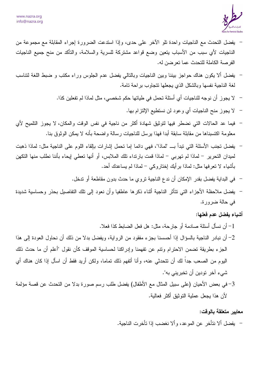

- يفضل التحدث مع الناجيات واحدة نلو الأخر على حدى، وإذا استدعت الضرورة إجراء المقابلة مع مجموعة من الناجيات لأى سبب من الأسباب يتعين وضع فواعد مشتركة للسرية والسلامة، والتأكد من منح جميع الناجيات الفر صنة الكاملة للتحدث عما تعر ضن له.
- يفضل ألا يكون هناك حواجز بيننا وبين الناجيات وبالنالي يفضل عدم الجلوس وراء مكتب و ضبط اللغة لنتاسب لغة الناجية نفسها وبالشكل الذي يجعلها نتجاوب براحة نامة.
	- لا يجوز أن نوجه للناجيات أي أسئلة تحمل في طياتها حكم شخصي، مثل لماذا لم تفعلين كذا.
		- لا يجوز منح الناجيات أي وعود لن نستطيع الإلتزام بها.
- فيما عد الحالات التي نضطر فيها لتوثيق شهادة أكثر من ناجية في نفس الوقت والمكان، لا يجوز النلميح لأي معلومة اكتسبناها من مقابلة سابقة أبدا فهذا يرسل للناجيات رسالة واضحة بأنه لا يمكن الوثوق بنا.
- يفضل نجنب الأسئلة التي نبدأ بــ "لماذا"، فهي دائما إما نحمل إشارات بإلقاء اللوم على الناجية مثل: لماذا ذهبت لميدان التحرير – لماذا لم تهربي – لماذا قمت بارنداء تلك الملابس، أو أنها تعطي إيحاء بأننا نطلب منها التكهن بِأَشْيَاءِ لا تعرَّفِها مثل: لماذا برِّ أيك إختار وكي – لماذا لم يساعدك أحد.
	- في البداية يفضل بقدر الإمكان أن ندع الناجية تروى ما حدث بدون مقاطعة أو ندخل.
- يفضل ملاحظة الأجزاء التي نتأثر الناجية أثناء ذكرها عاطفيا وأن نعود إلى نلك النفاصيل بحذر وحساسية شديدة في حالة ضرورة.

أشياء يفضل عدم فعلها:

1– أن نسأل أسئلة صادمة أو جار حة، مثل: هل فعل الضبابط كذا فعلا.

- 2– أن نبادر الناجية بالسؤال إذا أحسسنا بجزء مفقود من الرواية، ويفضل بدلا من ذلك أن نحاول العودة إلى هذا الجزء بطريقة نضمن الاحترام ونتم عن تفهمنا وإدراكنا لحساسية الموقف كأن نقول "أعلم أن ما حدث ذلك اليوم من الصـعب جداً لك أن نتحدثـي عنـه، وأنـا أتفهم ذلك نمـامـا، ولكن أريد فقط أن اسأل إذا كـان هناك أي شيء آخر تودين أن تخبريني به".
- 3- في بعض الأحيان (على سبيل المثال مع الأطفال) يفضل طلب رسم صورة بدلا من التحدث عن قصة مؤلمة لأن هذا يجعل عملية النوثيق أكثر فعالية.

معايير متعلقة بالوقت:

– يفضل ألا نتأخر عن الموعد، و ألا نغضب إذا تأخر ت الناجية.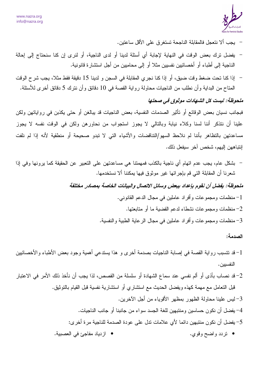

– يجب ألا نتعجل فالمقابلة الناجحة تستغرق على الأقل ساعتين.

- يفضل ترك بعض الوقت في النهاية لإجابة أي أسئلة لدينا أو لدى الناجية، أو لنرى إن كنا سنحتاج إلى إحالة الناجية إلى أطباء أو أخصائيين نفسيين مثلاً أو إلى محاميين من أجل استشارة قانونية.
- إذا كنا تحت ضغط وقت ضيق، أو إذا كنا نجري المقابلة في السجن و لدينا 15 دقيقة فقط مثلا، يجب شر ح الوقت المناح من البداية وأن نطلب من الناجيات محاولة رواية القصة في 10 دقائق وأن نترك 5 دقائق أخرى للأسئلة.

### ملحوظة: ليست كل الشهادات موثوق في صحتها

فبجانب نسيان بعض الوقائع أو تأثير الصدمات النفسية، بعض الناجيات قد يبالغن أو حتى يكذبن في رواياتهن ولكن علينا أن نتذكر أننا لسنا وكلاء نيابة وبالتالي لا يجوز استجواب من نحاورهن ولكن في الوقت نفسه لا يجوز مساعدتهن بالتظاهر بأننا لم نلاحظ السهو/التناقضات والأشياء التبي لا تبدو صحيحة أو منطقية لأنه إذا لم نلفت إنتباههن إليهم، شخص آخر سبفعل ذلك.

– بشكل عام، يجب عدم اتهام أي ناجية بالكذب فمهمتنا هي مساعدتهن على التعبير عن الحقيقة كما يرونها وفي إذا شعرنا أن المقابلة التي قم بإجرائها غير موثوق فيها يمكننا ألا نستخدمها.

ملحوظة: يفضل أن نقوم بإعداد ببعض وسائل الاتصال والبيانات الخاصة بمصادر مختلفة

1– منظمات ومجموعات وأفراد عاملين في مجال الدعم القانوني. منظمات ومجموعات نشطاء لدعم القضية ما أو متابعتها.  $\!-2$ منظمات ومجموعات وأفراد عاملين في مجال الرعاية الطبية والنفسية. $\, -3\,$ 

#### الصدمة:

- قد تتسبب رواية القصة في إصابة الناجيات بصدمة أخرى و هذا يستدعى أهمية وجود بعض الأطباء والأخصائيين " النفسيين.
- 2– قد نصاب بأذى أو ألم نفسى عند سماع الشهادة أو سلسلة من القصص، لذا يجب أن نأخذ ذلك الأمر في الاعتبار قبل النعامل مع مهمة كهذه ويفضل الحديث مع استشاري أو استشارية نفسية قبل القيام بالنوثيق. 3–ليس علينا محاولة الظهور بمظهر الأقوياء من أجل الآخرين. 4– يفضل أن نكون حساسين ومنتبهين للغة الجسد سواء من جانبنا أو جانب الناجيات. 5– يفضل أن نكون منتبهين دائما لأي علامات تدل على عودة الصدمة للناجية مرة أخرى: . ' \_-= A • . < • تردد واضح وقوي.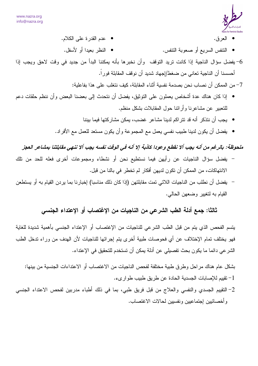

- عدم القدرة على الكلام. • العرق.
	- النتفس السريع أو صعوبة النتفس.

• النظر بعيدا أو لأسفل.

6– يفضل سؤال الناجية إذا كانت تريد التوقف وأن نخبرها بأنه يمكننا البدأ من جديد في وقت لاحق ويجب إذا أحسسنا أن الناجية تعاني من ضغط/إجهاد شديد أن نوقف المقابلة فور اً.

7– من الممكن أن نصاب نحن بصدمة نفسية أثناء المقابلة، كيف نتغلب على هذا بفاعلية:

- إذا كان هناك عدة أشخاص يعملون على النوثيق، يفضل أن نتحدث إلى بعضنا البعض وأن ننظم حلقات دعم للنعبير ً عن مشاعر نا و أر ائنا حول المقابلات بشكل منظم.
	- يجب أن نتذكر أنه قد تتراكم لدينا مشاعر غضب، يمكن مشاركتها فيما بيننا
	- يفضل أن يكون لدينا طبيب نفسى يعمل مع المجموعة وأن يكون مستعد للعمل مع الأفراد.

## ملحوظة: بالرغم من أنه يجب ألا نقطع وعودا كاذبة إلا أنه في الوقت نفسه يجب ألا ننهي مقابلتنا بمشاعر العجز

- يفضل سؤال الناجيات عن رأيهن فيما نستطيع نحن أو نشطاء ومجموعات أخرى فعله للحد من تلك الانتهاكات، من الممكن أن تكون لديهن أفكار لم تخطر في بالنا من قبل.
- بفضل أن نطلب من الناجيات اللاتي تمت مقابلتهن (إذا كان ذلك مناسبا) إخبارنا بما يردن القيام به أو يستطعن القيام به لتغيير وضعهن الحالي.

## ثالثا: جمع أدلة الطب الشرعي من الناجيات من الإغتصاب أو الإعتداء الجنسي

يتسم الفحص الذي يتم من قبل الطب الشرعي للناجيات من الإغتصاب أو الإعتداء الجنسي بأهمية شديدة للغاية فهو يختلف تمام الإختلاف عن أي فحوصات طبية أخرى يتم إجرائها للناجيات لأن الهدف من وراء تدخل الطب الشر عي دائما ما يكون بحث تفصيلي عن أدلة يمكن أن تستخدم للتحقيق في الإعتداء.

بشكل عام هناك مراحل وطرق طبية مختلفة لفحص الناجيات من الاغتصاب أو الاعتداءات الجنسية من بينها: 1– تقبيم للإصابات الجسدية الحادة عن طريق طبيب طوار يء.

2– التقييم الجسدي والنفسي والعلاج من قبل فريق طبي، بما في ذلك أطباء مدربين لفحص الاعتداء الجنسي وأخصائيين إجتماعيين ونفسيين لحالات الاغتصاب.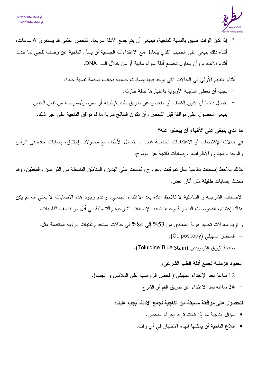

• إبلاغ الناجية أن يمكنها إنهاء الاختبار في أي وقت.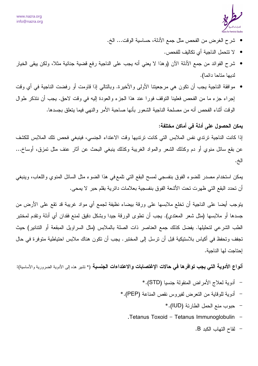

- شرح الغرض من الفحص مثل جمع الأدلة، حساسية الوقت... الخ.
	- لا تتحمل الناجية أي تكاليف للفحص.
- شرح الفوائد من جمع الأدلة الآن (وهذا لا يعني أنه يجب على الناجية رفع قضية جنائية مثلا، ولكن يبقى الخيار لديها متاحا دائما).
- موافقة الناجية يجب أن تكون هي مرجعيتنا الأولى والأخيرة. وبالنالي إذا قاومت أو رفضت الناجية في أي وقت إجراء جزء ما من الفحص فعلينا التوقف فورًا عند هذا الجزء والعودة إليه في وقت لاحق. يجب أن نتذكر طوال الوقت أثناء الفحص أنه من مصلحة الناجية الشعور بأنها صاحبة الأمر والنهي فيما يتعلق بجسدها.

### يمكن الحصول على أدلة في أماكن مختلفة:

إذا كانت الناجية ترتدي نفس الملابس التي كانت ترتديها وقت الاعتداء الجنسي، فينبغي فحص تلك الملابس للكشف عن بقع سائل منوى أو دم وكذلك الشعر والمواد الغريبة وكذلك بنبغي البحث عن آثار عنف مثل تمزق، أوساخ... الخ.

يمكن استخدام مصدر للضوء الفوق بنفسجي لمسح البقع التي نلمع في هذا الضوء مثل السائل المنوي واللعاب، وينبغي أن تحدد البقع التي ظهرت تحت الأشعة الفوق بنفسجية بعلامات دائرية بقلم حبر لا يمحي.

يتوجب أيضا على الناجية أن تخلع ملابسها على ورقة بيضاء نظيفة لجمع أي مواد غريبة قد تقع على الأرض من جسدها أو ملابسها (مثل شعر المعتدي). يجب أن نطوى الورقة جيدا وبشكل دقيق لمنع فقدان أي أدلة ونقدم لمختبر الطب الشرعي لتحليلها. يفضل كذلك جمع العناصر ذات الصلة بالملابس (مثل السراويل المبقعة أو التنانير) حيث تجفف وتحفظ في أكياس بلاستيكية قبل أن ترسل إلى المختبر . يجب أن تكون هناك ملابس احتياطية متوفرة في حال إحتاجت لها الناجية.

**أنواع الأدوية التي يجب توافرها في حالات الإغتصابات والاعتداءات الجنسية (\*** تشير هذه إلى الأدوية الضرورية والأساسية):

- أدوية لـعلاج الأمراض المنقولة جنسيا (STD). \*
- أدوية للوقاية من النعرض لفيروس نقص المناعة (PEP).\*
	- حبوب منع الحمل الطارئة (IUD). \*
	- . Tetanus Toxoid  $-$  Tetanus Immunoglobulin
		- لقاح التهاب الكبد B.